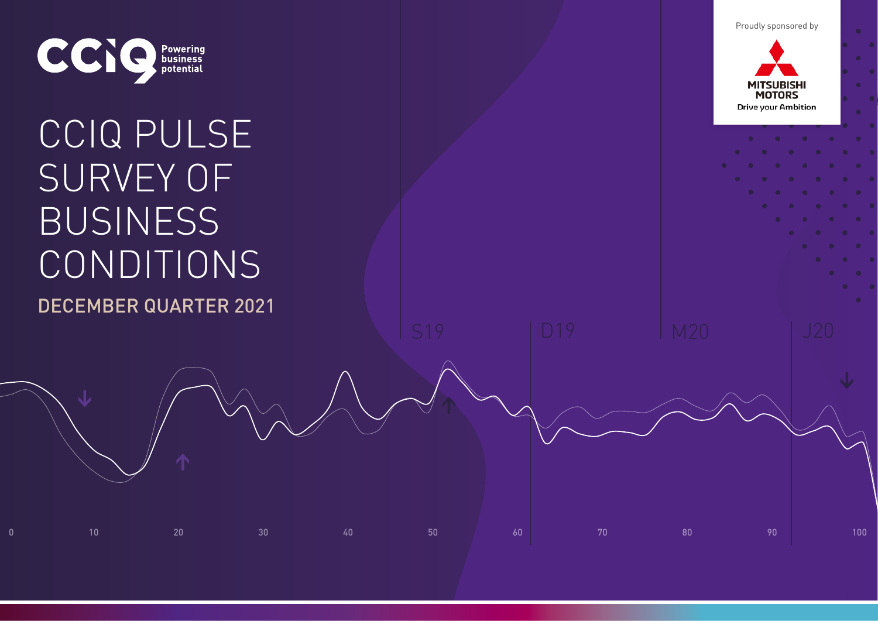Proudly sponsored by



# CCIQ PULSE SURVEY OF BUSINESS CONDITIONS DECEMBER QUARTER 2021

 $0$  50  $10$  90  $100$   $100$   $100$ 

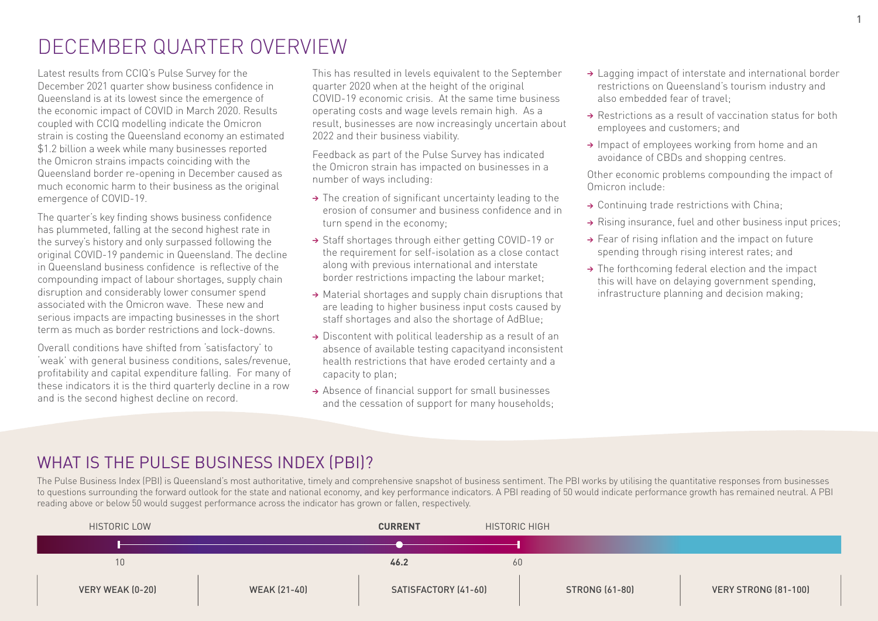### DECEMBER QUARTER OVERVIEW

Latest results from CCIQ's Pulse Survey for the December 2021 quarter show business confidence in Queensland is at its lowest since the emergence of the economic impact of COVID in March 2020. Results coupled with CCIQ modelling indicate the Omicron strain is costing the Queensland economy an estimated \$1.2 billion a week while many businesses reported the Omicron strains impacts coinciding with the Queensland border re-opening in December caused as much economic harm to their business as the original emergence of COVID-19.

The quarter's key finding shows business confidence has plummeted, falling at the second highest rate in the survey's history and only surpassed following the original COVID-19 pandemic in Queensland. The decline in Queensland business confidence is reflective of the compounding impact of labour shortages, supply chain disruption and considerably lower consumer spend associated with the Omicron wave. These new and serious impacts are impacting businesses in the short term as much as border restrictions and lock-downs.

Overall conditions have shifted from 'satisfactory' to 'weak' with general business conditions, sales/revenue, profitability and capital expenditure falling. For many of these indicators it is the third quarterly decline in a row and is the second highest decline on record.

This has resulted in levels equivalent to the September quarter 2020 when at the height of the original COVID-19 economic crisis. At the same time business operating costs and wage levels remain high. As a result, businesses are now increasingly uncertain about 2022 and their business viability.

Feedback as part of the Pulse Survey has indicated the Omicron strain has impacted on businesses in a number of ways including:

- → The creation of significant uncertainty leading to the erosion of consumer and business confidence and in turn spend in the economy;
- <sup>&</sup>gt; Staff shortages through either getting COVID-19 or the requirement for self-isolation as a close contact along with previous international and interstate border restrictions impacting the labour market;
- → Material shortages and supply chain disruptions that are leading to higher business input costs caused by staff shortages and also the shortage of AdBlue;
- → Discontent with political leadership as a result of an absence of available testing capacityand inconsistent health restrictions that have eroded certainty and a capacity to plan;
- → Absence of financial support for small businesses and the cessation of support for many households;
- → Lagging impact of interstate and international border restrictions on Queensland's tourism industry and also embedded fear of travel;
- → Restrictions as a result of vaccination status for both employees and customers; and
- → Impact of employees working from home and an avoidance of CBDs and shopping centres.

Other economic problems compounding the impact of Omicron include:

- → Continuing trade restrictions with China;
- → Rising insurance, fuel and other business input prices;
- → Fear of rising inflation and the impact on future spending through rising interest rates; and
- → The forthcoming federal election and the impact this will have on delaying government spending, infrastructure planning and decision making;

### WHAT IS THE PULSE BUSINESS INDEX (PBI)?

The Pulse Business Index (PBI) is Queensland's most authoritative, timely and comprehensive snapshot of business sentiment. The PBI works by utilising the quantitative responses from businesses to questions surrounding the forward outlook for the state and national economy, and key performance indicators. A PBI reading of 50 would indicate performance growth has remained neutral. A PBI reading above or below 50 would suggest performance across the indicator has grown or fallen, respectively.

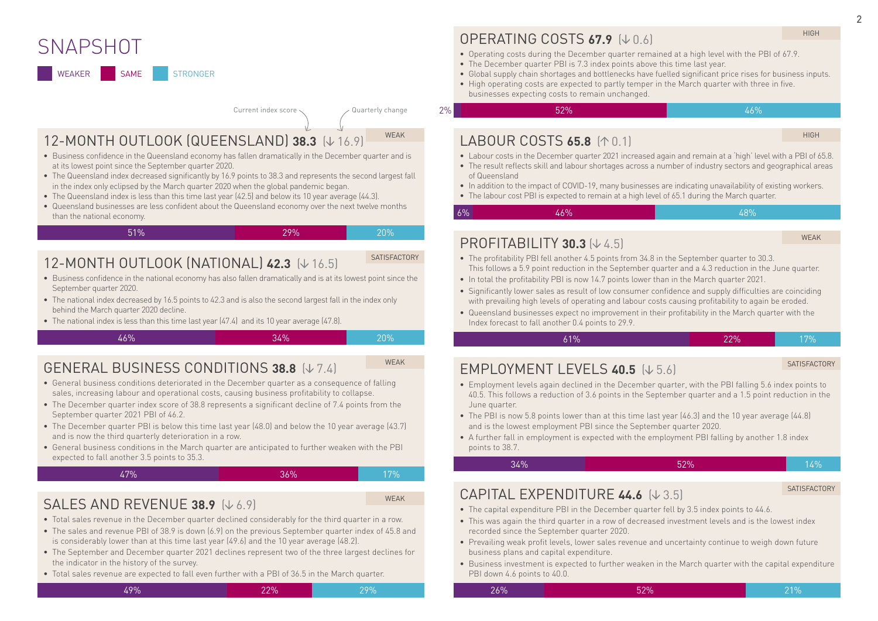### **SNAPSHOT**

WEAKER SAME STRONGER

#### Current index score  $\langle$  Quarterly change

51% 29% 20%

12-MONTH OUTLOOK (QUEENSLAND) 38.3 ( $\downarrow$  16.9)

- Business confidence in the Queensland economy has fallen dramatically in the December quarter and is at its lowest point since the September quarter 2020.
- The Queensland index decreased significantly by 16.9 points to 38.3 and represents the second largest fall in the index only eclipsed by the March quarter 2020 when the global pandemic began.
- The Queensland index is less than this time last year (42.5) and below its 10 year average (44.3).
- Queensland businesses are less confident about the Queensland economy over the next twelve months than the national economy.

### 12-MONTH OUTLOOK (NATIONAL) **42.3** ( $\downarrow$  16.5)

- Business confidence in the national economy has also fallen dramatically and is at its lowest point since the September quarter 2020.
- The national index decreased by 16.5 points to 42.3 and is also the second largest fall in the index only behind the March quarter 2020 decline.
- The national index is less than this time last year (47.4) and its 10 year average (47.8).

GENERAL BUSINESS CONDITIONS 38.8  $(V74)$ 

46% 34% 20%

#### • General business conditions deteriorated in the December quarter as a consequence of falling sales, increasing labour and operational costs, causing business profitability to collapse.

- The December quarter index score of 38.8 represents a significant decline of 7.4 points from the September quarter 2021 PBI of 46.2.
- The December quarter PBI is below this time last year (48.0) and below the 10 year average (43.7) and is now the third quarterly deterioration in a row.
- General business conditions in the March quarter are anticipated to further weaken with the PBI expected to fall another 3.5 points to 35.3.

#### 47% 36% 17%

### WEAK

### **SALES AND REVENUE 38.9 (** $\downarrow$  **6.9)**

- Total sales revenue in the December quarter declined considerably for the third quarter in a row.
- The sales and revenue PBI of 38.9 is down (6.9) on the previous September quarter index of 45.8 and is considerably lower than at this time last year (49.6) and the 10 year average (48.2).
- The September and December quarter 2021 declines represent two of the three largest declines for the indicator in the history of the survey.
- Total sales revenue are expected to fall even further with a PBI of 36.5 in the March quarter.

### OPERATING COSTS 67.9 [J.D.A]

- Operating costs during the December quarter remained at a high level with the PBI of 67.9.
- The December quarter PBI is 7.3 index points above this time last year.
- Global supply chain shortages and bottlenecks have fuelled significant price rises for business inputs.
- High operating costs are expected to partly temper in the March quarter with three in five. businesses expecting costs to remain unchanged.

 $2\%$  52% for the set of  $52\%$  . The set of  $46\%$ 

6%

### LABOUR COSTS **65.8** ( $\uparrow$  0.1)

HIGH

HIGH

- Labour costs in the December quarter 2021 increased again and remain at a 'high' level with a PBI of 65.8.
- The result reflects skill and labour shortages across a number of industry sectors and geographical areas of Queensland
- In addition to the impact of COVID-19, many businesses are indicating unavailability of existing workers.
- The labour cost PBI is expected to remain at a high level of 65.1 during the March quarter.

### 46% 48%

### **PROFITABILITY 30.3**  $(V 4.5)$

WEAK

- The profitability PBI fell another 4.5 points from 34.8 in the September quarter to 30.3. This follows a 5.9 point reduction in the September quarter and a 4.3 reduction in the June quarter.
- In total the profitability PBI is now 14.7 points lower than in the March quarter 2021.
- Significantly lower sales as result of low consumer confidence and supply difficulties are coinciding with prevailing high levels of operating and labour costs causing profitability to again be eroded.
- Queensland businesses expect no improvement in their profitability in the March quarter with the Index forecast to fall another 0.4 points to 29.9.

### **EMPLOYMENT LEVELS 40.5 (** $\downarrow$  **5.6)**

#### SATISFACTORY

• Employment levels again declined in the December quarter, with the PBI falling 5.6 index points to 40.5. This follows a reduction of 3.6 points in the September quarter and a 1.5 point reduction in the June quarter.

61% 22% 17%

- The PBI is now 5.8 points lower than at this time last year (46.3) and the 10 year average (44.8) and is the lowest employment PBI since the September quarter 2020.
- A further fall in employment is expected with the employment PBI falling by another 1.8 index points to 38.7.

$$
34\%
$$

SATISFACTORY

### CAPITAL EXPENDITURE 44.6  $(V3.5)$

- The capital expenditure PBI in the December quarter fell by 3.5 index points to 44.6.
- This was again the third quarter in a row of decreased investment levels and is the lowest index recorded since the September quarter 2020.
- Prevailing weak profit levels, lower sales revenue and uncertainty continue to weigh down future business plans and capital expenditure.
- Business investment is expected to further weaken in the March quarter with the capital expenditure PBI down 4.6 points to 40.0.

26% 52% 21%



WEAK

WEAK

**SATISFACTORY** 

49% 22% 29%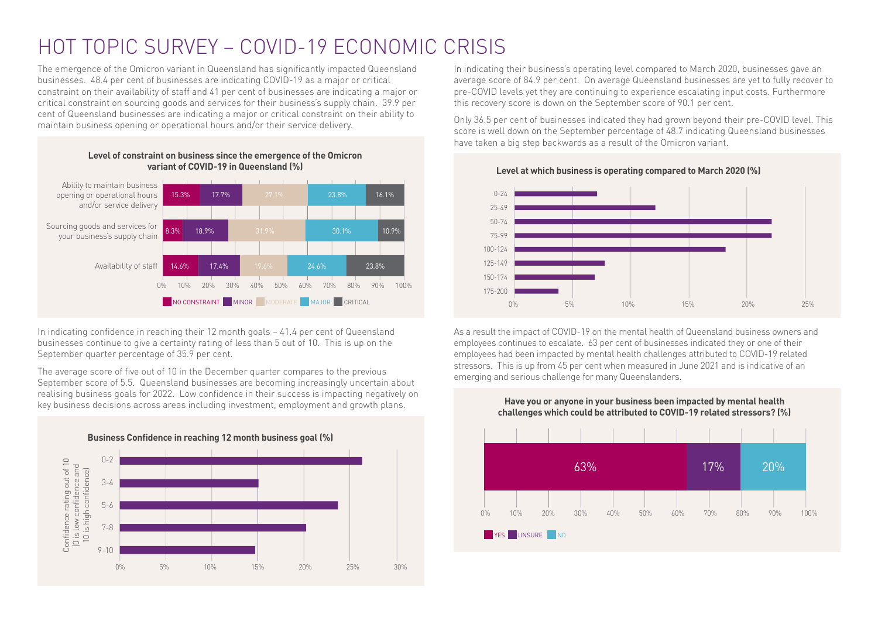## HOT TOPIC SURVEY – COVID-19 ECONOMIC CRISIS

The emergence of the Omicron variant in Queensland has significantly impacted Queensland businesses. 48.4 per cent of businesses are indicating COVID-19 as a major or critical constraint on their availability of staff and 41 per cent of businesses are indicating a major or critical constraint on sourcing goods and services for their business's supply chain. 39.9 per cent of Queensland businesses are indicating a major or critical constraint on their ability to maintain business opening or operational hours and/or their service delivery.



In indicating confidence in reaching their 12 month goals – 41.4 per cent of Queensland businesses continue to give a certainty rating of less than 5 out of 10. This is up on the September quarter percentage of 35.9 per cent.

The average score of five out of 10 in the December quarter compares to the previous September score of 5.5. Queensland businesses are becoming increasingly uncertain about realising business goals for 2022. Low confidence in their success is impacting negatively on key business decisions across areas including investment, employment and growth plans.



In indicating their business's operating level compared to March 2020, businesses gave an average score of 84.9 per cent. On average Queensland businesses are yet to fully recover to pre-COVID levels yet they are continuing to experience escalating input costs. Furthermore this recovery score is down on the September score of 90.1 per cent.

Only 36.5 per cent of businesses indicated they had grown beyond their pre-COVID level. This score is well down on the September percentage of 48.7 indicating Queensland businesses have taken a big step backwards as a result of the Omicron variant.



As a result the impact of COVID-19 on the mental health of Queensland business owners and employees continues to escalate. 63 per cent of businesses indicated they or one of their employees had been impacted by mental health challenges attributed to COVID-19 related stressors. This is up from 45 per cent when measured in June 2021 and is indicative of an emerging and serious challenge for many Queenslanders.



**Level at which business is operating compared to March 2020 (%)**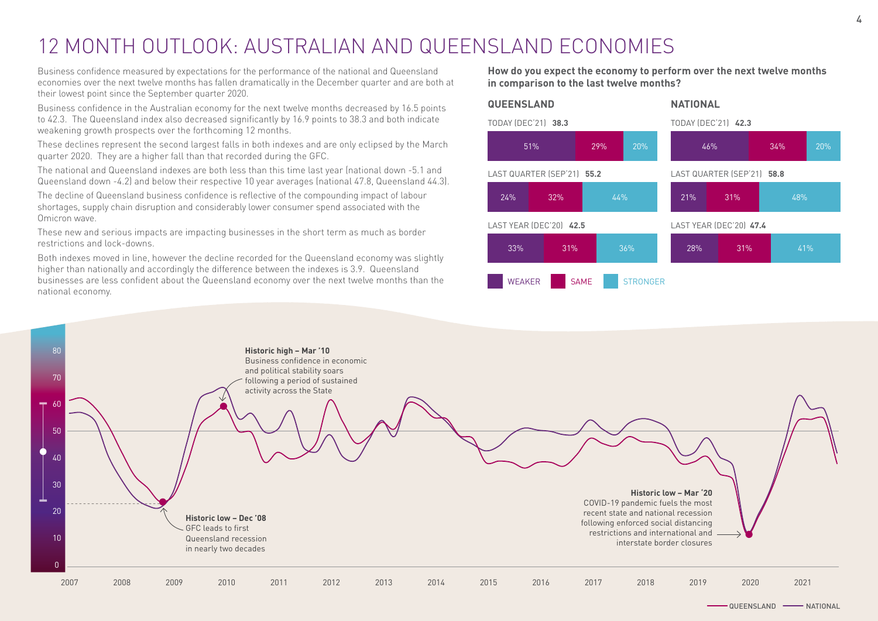## 12 MONTH OUTLOOK: AUSTRALIAN AND QUEENSLAND ECONOMIES

Business confidence measured by expectations for the performance of the national and Queensland economies over the next twelve months has fallen dramatically in the December quarter and are both at their lowest point since the September quarter 2020.

Business confidence in the Australian economy for the next twelve months decreased by 16.5 points to 42.3. The Queensland index also decreased significantly by 16.9 points to 38.3 and both indicate weakening growth prospects over the forthcoming 12 months.

These declines represent the second largest falls in both indexes and are only eclipsed by the March quarter 2020. They are a higher fall than that recorded during the GFC.

The national and Queensland indexes are both less than this time last year (national down -5.1 and Queensland down -4.2) and below their respective 10 year averages (national 47.8, Queensland 44.3).

The decline of Queensland business confidence is reflective of the compounding impact of labour shortages, supply chain disruption and considerably lower consumer spend associated with the Omicron wave.

These new and serious impacts are impacting businesses in the short term as much as border restrictions and lock-downs.

Both indexes moved in line, however the decline recorded for the Queensland economy was slightly higher than nationally and accordingly the difference between the indexes is 3.9. Queensland businesses are less confident about the Queensland economy over the next twelve months than the national economy.

**How do you expect the economy to perform over the next twelve months in comparison to the last twelve months?**



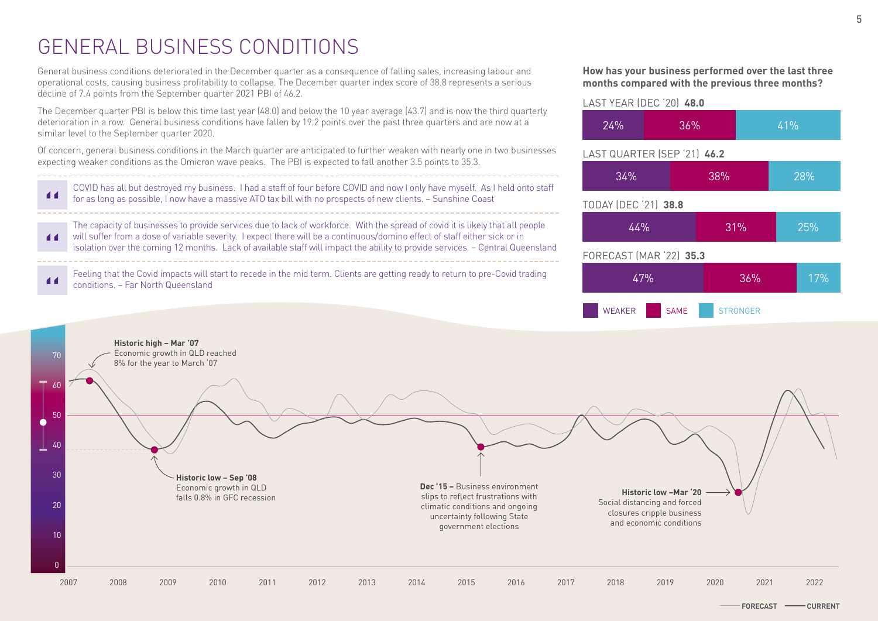## GENERAL BUSINESS CONDITIONS

General business conditions deteriorated in the December quarter as a consequence of falling sales, increasing labour and operational costs, causing business profitability to collapse. The December quarter index score of 38.8 represents a serious decline of 7.4 points from the September quarter 2021 PBI of 46.2.

The December quarter PBI is below this time last year (48.0) and below the 10 year average (43.7) and is now the third quarterly deterioration in a row. General business conditions have fallen by 19.2 points over the past three quarters and are now at a similar level to the September quarter 2020.

Of concern, general business conditions in the March quarter are anticipated to further weaken with nearly one in two businesses expecting weaker conditions as the Omicron wave peaks. The PBI is expected to fall another 3.5 points to 35.3.



**How has your business performed over the last three months compared with the previous three months?**



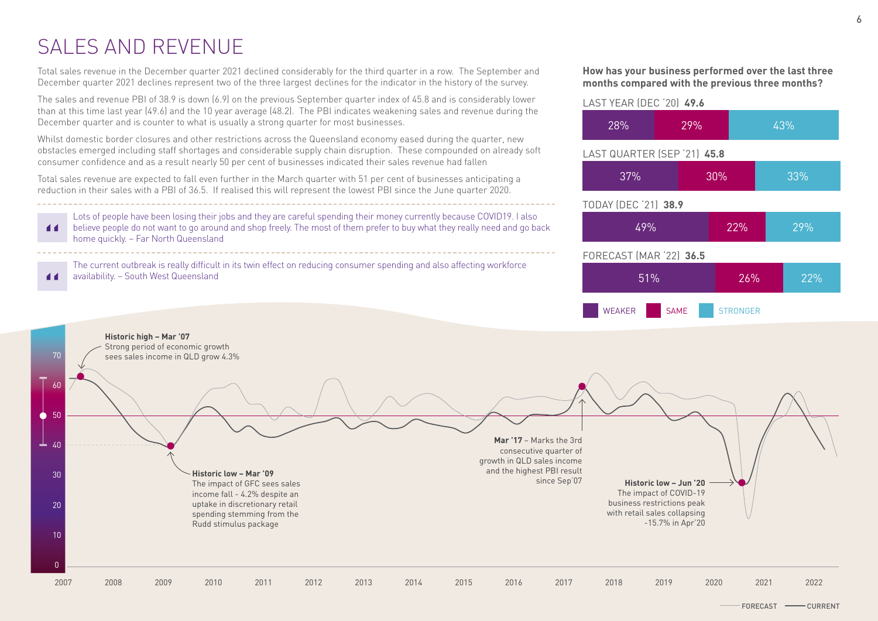## SALES AND REVENUE

44

Total sales revenue in the December quarter 2021 declined considerably for the third quarter in a row. The September and December quarter 2021 declines represent two of the three largest declines for the indicator in the history of the survey.

The sales and revenue PBI of 38.9 is down (6.9) on the previous September quarter index of 45.8 and is considerably lower than at this time last year (49.6) and the 10 year average (48.2). The PBI indicates weakening sales and revenue during the December quarter and is counter to what is usually a strong quarter for most businesses.

Whilst domestic border closures and other restrictions across the Queensland economy eased during the quarter, new obstacles emerged including staff shortages and considerable supply chain disruption. These compounded on already soft consumer confidence and as a result nearly 50 per cent of businesses indicated their sales revenue had fallen

Total sales revenue are expected to fall even further in the March quarter with 51 per cent of businesses anticipating a reduction in their sales with a PBI of 36.5. If realised this will represent the lowest PBI since the June quarter 2020.

Lots of people have been losing their jobs and they are careful spending their money currently because COVID19. I also **d d** believe people do not want to go around and shop freely. The most of them prefer to buy what they really need and go back home quickly. – Far North Queensland

The current outbreak is really difficult in its twin effect on reducing consumer spending and also affecting workforce availability. – South West Queensland

#### **How has your business performed over the last three months compared with the previous three months?**



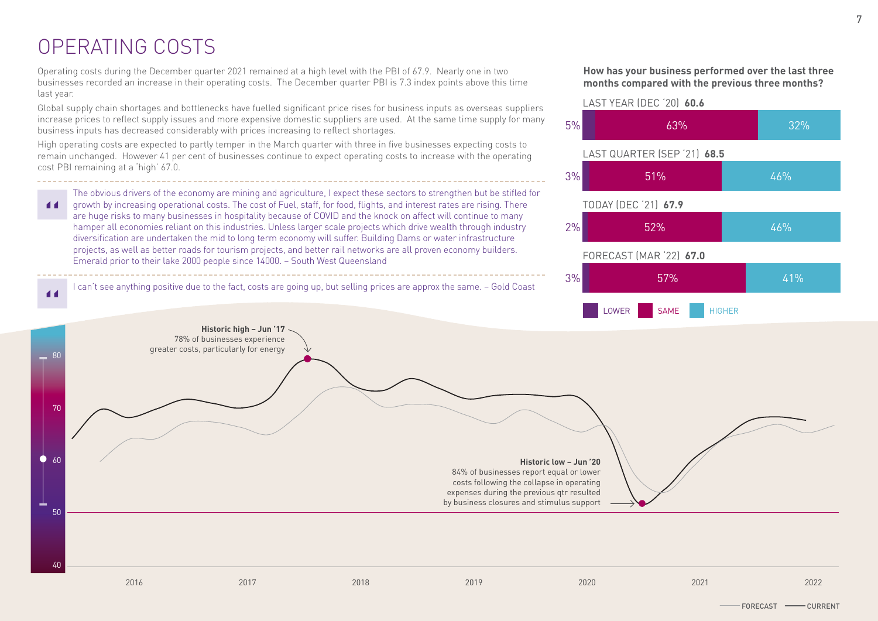## OPERATING COSTS

 $\blacktriangleleft$ 

Operating costs during the December quarter 2021 remained at a high level with the PBI of 67.9. Nearly one in two businesses recorded an increase in their operating costs. The December quarter PBI is 7.3 index points above this time last year.

Global supply chain shortages and bottlenecks have fuelled significant price rises for business inputs as overseas suppliers increase prices to reflect supply issues and more expensive domestic suppliers are used. At the same time supply for many business inputs has decreased considerably with prices increasing to reflect shortages.

High operating costs are expected to partly temper in the March quarter with three in five businesses expecting costs to remain unchanged. However 41 per cent of businesses continue to expect operating costs to increase with the operating cost PBI remaining at a 'high' 67.0.

The obvious drivers of the economy are mining and agriculture, I expect these sectors to strengthen but be stifled for growth by increasing operational costs. The cost of Fuel, staff, for food, flights, and interest rates are rising. There  $\blacksquare$ are huge risks to many businesses in hospitality because of COVID and the knock on affect will continue to many hamper all economies reliant on this industries. Unless larger scale projects which drive wealth through industry diversification are undertaken the mid to long term economy will suffer. Building Dams or water infrastructure projects, as well as better roads for tourism projects, and better rail networks are all proven economy builders. Emerald prior to their lake 2000 people since 14000. – South West Queensland

I can't see anything positive due to the fact, costs are going up, but selling prices are approx the same. – Gold Coast







2016 2017 2018 2019 2020 2021 2022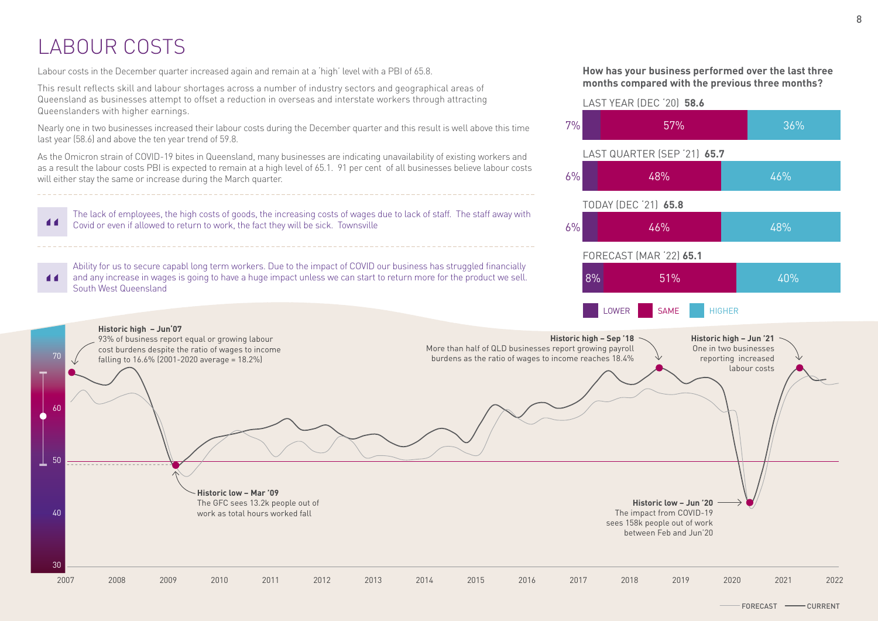## LABOUR COSTS

Labour costs in the December quarter increased again and remain at a 'high' level with a PBI of 65.8.

This result reflects skill and labour shortages across a number of industry sectors and geographical areas of Queensland as businesses attempt to offset a reduction in overseas and interstate workers through attracting Queenslanders with higher earnings.

Nearly one in two businesses increased their labour costs during the December quarter and this result is well above this time last year (58.6) and above the ten year trend of 59.8.

As the Omicron strain of COVID-19 bites in Queensland, many businesses are indicating unavailability of existing workers and as a result the labour costs PBI is expected to remain at a high level of 65.1. 91 per cent of all businesses believe labour costs will either stay the same or increase during the March quarter.

The lack of employees, the high costs of goods, the increasing costs of wages due to lack of staff. The staff away with 44 Covid or even if allowed to return to work, the fact they will be sick. Townsville

Ability for us to secure capabl long term workers. Due to the impact of COVID our business has struggled financially and any increase in wages is going to have a huge impact unless we can start to return more for the product we sell.  $\blacksquare$ South West Queensland



**How has your business performed over the last three months compared with the previous three months?**

57% 36%

51% 40%

FORECAST (MAR '22) **65.1**

6% 46% 48%

 $6\%$  48% and 46%

TODAY (DEC '21) **65.8**

LAST YEAR (DEC '20) **58.6**

7%

8%

LAST QUARTER (SEP '21) **65.7**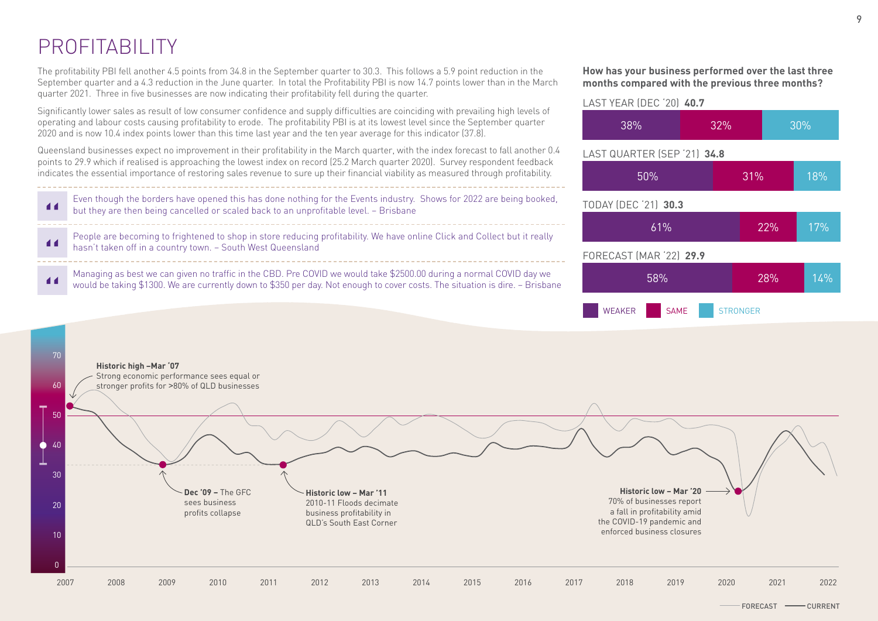## PROFITABILITY

The profitability PBI fell another 4.5 points from 34.8 in the September quarter to 30.3. This follows a 5.9 point reduction in the September quarter and a 4.3 reduction in the June quarter. In total the Profitability PBI is now 14.7 points lower than in the March quarter 2021. Three in five businesses are now indicating their profitability fell during the quarter.

Significantly lower sales as result of low consumer confidence and supply difficulties are coinciding with prevailing high levels of operating and labour costs causing profitability to erode. The profitability PBI is at its lowest level since the September quarter 2020 and is now 10.4 index points lower than this time last year and the ten year average for this indicator (37.8).

Queensland businesses expect no improvement in their profitability in the March quarter, with the index forecast to fall another 0.4 points to 29.9 which if realised is approaching the lowest index on record (25.2 March quarter 2020). Survey respondent feedback indicates the essential importance of restoring sales revenue to sure up their financial viability as measured through profitability.

Even though the borders have opened this has done nothing for the Events industry. Shows for 2022 are being booked,  $\blacksquare$ but they are then being cancelled or scaled back to an unprofitable level. – Brisbane

People are becoming to frightened to shop in store reducing profitability. We have online Click and Collect but it really  $\blacksquare$ hasn't taken off in a country town. – South West Queensland

Managing as best we can given no traffic in the CBD. Pre COVID we would take \$2500.00 during a normal COVID day we  $\blacksquare$ would be taking \$1300. We are currently down to \$350 per day. Not enough to cover costs. The situation is dire. – Brisbane

#### **How has your business performed over the last three months compared with the previous three months?**

## TODAY (DEC '21) **30.3** 61% 22% 17% WEAKER SAME STRONGER FORECAST (MAR '22) **29.9** 58% 28% 14% LAST YEAR (DEC '20) **40.7** 38% 32% 30% LAST QUARTER (SEP '21) **34.8** 50% 31% 18%

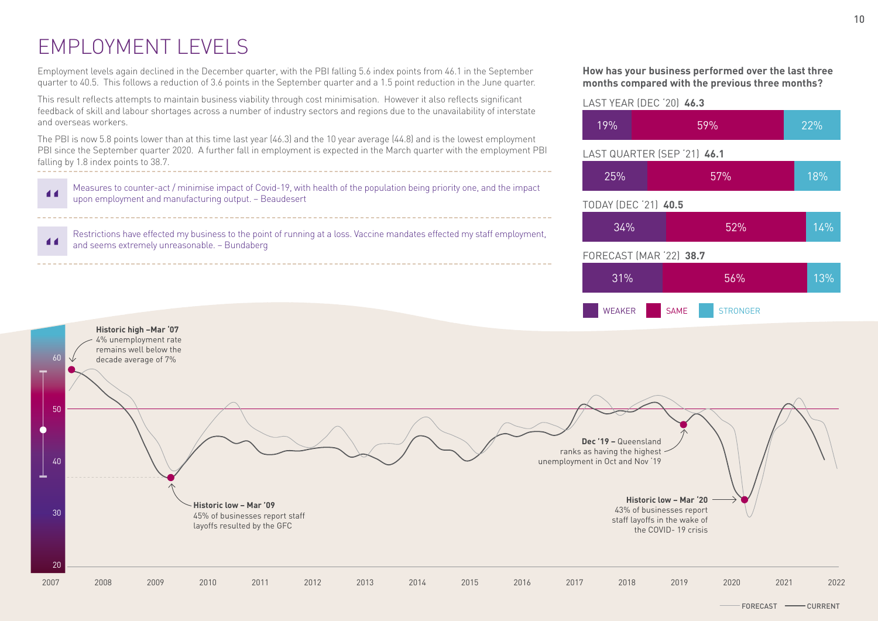## EMPLOYMENT LEVELS

Employment levels again declined in the December quarter, with the PBI falling 5.6 index points from 46.1 in the September quarter to 40.5. This follows a reduction of 3.6 points in the September quarter and a 1.5 point reduction in the June quarter.

This result reflects attempts to maintain business viability through cost minimisation. However it also reflects significant feedback of skill and labour shortages across a number of industry sectors and regions due to the unavailability of interstate and overseas workers.

The PBI is now 5.8 points lower than at this time last year (46.3) and the 10 year average (44.8) and is the lowest employment PBI since the September quarter 2020. A further fall in employment is expected in the March quarter with the employment PBI falling by 1.8 index points to 38.7.



Restrictions have effected my business to the point of running at a loss. Vaccine mandates effected my staff employment,  $\blacksquare$ and seems extremely unreasonable. – Bundaberg

#### **How has your business performed over the last three months compared with the previous three months?**



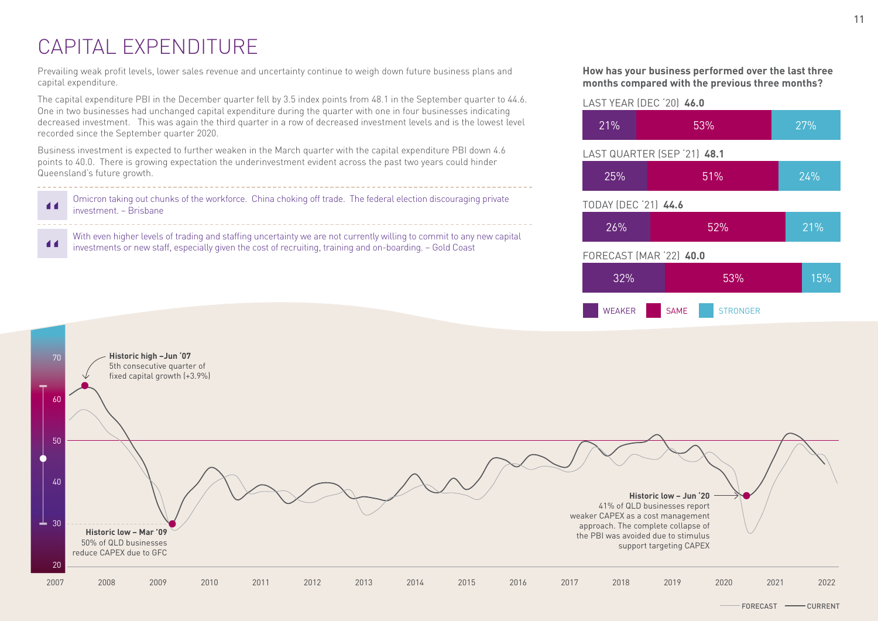## CAPITAL EXPENDITURE

Prevailing weak profit levels, lower sales revenue and uncertainty continue to weigh down future business plans and capital expenditure.

The capital expenditure PBI in the December quarter fell by 3.5 index points from 48.1 in the September quarter to 44.6. One in two businesses had unchanged capital expenditure during the quarter with one in four businesses indicating decreased investment. This was again the third quarter in a row of decreased investment levels and is the lowest level recorded since the September quarter 2020.

Business investment is expected to further weaken in the March quarter with the capital expenditure PBI down 4.6 points to 40.0. There is growing expectation the underinvestment evident across the past two years could hinder Queensland's future growth.

Omicron taking out chunks of the workforce. China choking off trade. The federal election discouraging private  $\blacktriangleleft$ investment. – Brisbane

With even higher levels of trading and staffing uncertainty we are not currently willing to commit to any new capital  $\blacksquare$ investments or new staff, especially given the cost of recruiting, training and on-boarding. – Gold Coast

#### **How has your business performed over the last three months compared with the previous three months?**

## TODAY (DEC '21) **44.6** 26% 52% 21% WEAKER SAME STRONGER FORECAST (MAR '22) **40.0** 32% 53% 15% LAST YEAR (DEC '20) **46.0** 21% 53% 27% LAST QUARTER (SEP '21) **48.1**  $25\%$  51% 24%

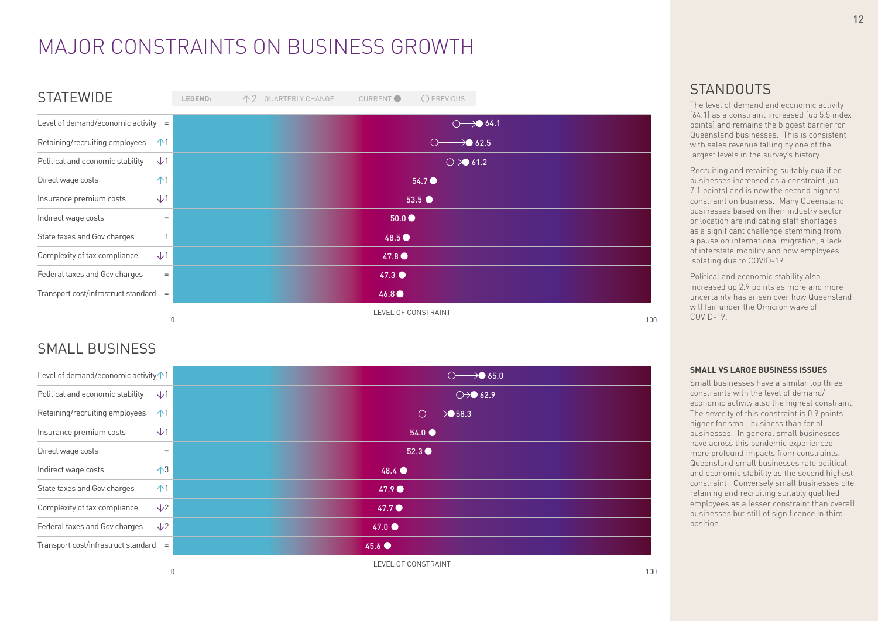## MAJOR CONSTRAINTS ON BUSINESS GROWTH

| <b>STATEWIDE</b>                               | LEGEND: | 个 2 QUARTERLY CHANGE | CURRENT <sup>O</sup> | O PREVIOUS                                 |
|------------------------------------------------|---------|----------------------|----------------------|--------------------------------------------|
| Level of demand/economic activity $=$          |         |                      |                      | $\circ$ 64.1                               |
| Retaining/recruiting employees<br>$\uparrow$ 1 |         |                      |                      | $\circ$ 62.5                               |
| $\sqrt{1}$<br>Political and economic stability |         |                      |                      | $\circlearrowright\rightarrow\bullet$ 61.2 |
| $\uparrow$ 1<br>Direct wage costs              |         |                      |                      | 54.7 ●                                     |
| $\sqrt{1}$<br>Insurance premium costs          |         |                      |                      | $53.5$ $\bullet$                           |
| Indirect wage costs<br>$=$                     |         |                      | $50.0\bullet$        |                                            |
| State taxes and Gov charges                    |         |                      | 48.5                 |                                            |
| $\sqrt{1}$<br>Complexity of tax compliance     |         |                      | 47.8                 |                                            |
| Federal taxes and Gov charges<br>$=$           |         |                      | $47.3$ $\bullet$     |                                            |
| Transport cost/infrastruct standard =          |         |                      | 46.8                 |                                            |
|                                                |         |                      | LEVEL OF CONSTRAINT  | 100                                        |

### SMALL BUSINESS

| Level of demand/economic activity $\uparrow$ 1 | $\circ$ 65.0                        |
|------------------------------------------------|-------------------------------------|
| Political and economic stability<br>$\sqrt{1}$ | $\bigcirc \rightarrow \bullet$ 62.9 |
| Retaining/recruiting employees<br>$\uparrow$ 1 | $\circ$ 58.3                        |
| $\sqrt{1}$<br>Insurance premium costs          | $54.0$ $\bullet$                    |
| Direct wage costs<br>$=$                       | 52.3                                |
| $\mathcal{A}$<br>Indirect wage costs           | $48.4$ $\bullet$                    |
| $\uparrow$ 1<br>State taxes and Gov charges    | 47.9                                |
| $\sqrt{2}$<br>Complexity of tax compliance     | 47.7                                |
| Federal taxes and Gov charges<br>$\sqrt{2}$    | $47.0$ $\bullet$                    |
| Transport cost/infrastruct standard =          | $45.6$ $\bullet$                    |
|                                                | LEVEL OF CONSTRAINT<br>100          |

### **STANDOUTS**

The level of demand and economic activity (64.1) as a constraint increased (up 5.5 index points) and remains the biggest barrier for Queensland businesses. This is consistent with sales revenue falling by one of the largest levels in the survey's history.

Recruiting and retaining suitably qualified businesses increased as a constraint (up 7.1 points) and is now the second highest constraint on business. Many Queensland businesses based on their industry sector or location are indicating staff shortages as a significant challenge stemming from a pause on international migration, a lack of interstate mobility and now employees isolating due to COVID-19.

Political and economic stability also increased up 2.9 points as more and more uncertainty has arisen over how Queensland will fair under the Omicron wave of COVID-19.

#### **SMALL VS LARGE BUSINESS ISSUES**

Small businesses have a similar top three constraints with the level of demand/ economic activity also the highest constraint. The severity of this constraint is 0.9 points higher for small business than for all businesses. In general small businesses have across this pandemic experienced more profound impacts from constraints. Queensland small businesses rate political and economic stability as the second highest constraint. Conversely small businesses cite retaining and recruiting suitably qualified employees as a lesser constraint than overall businesses but still of significance in third position.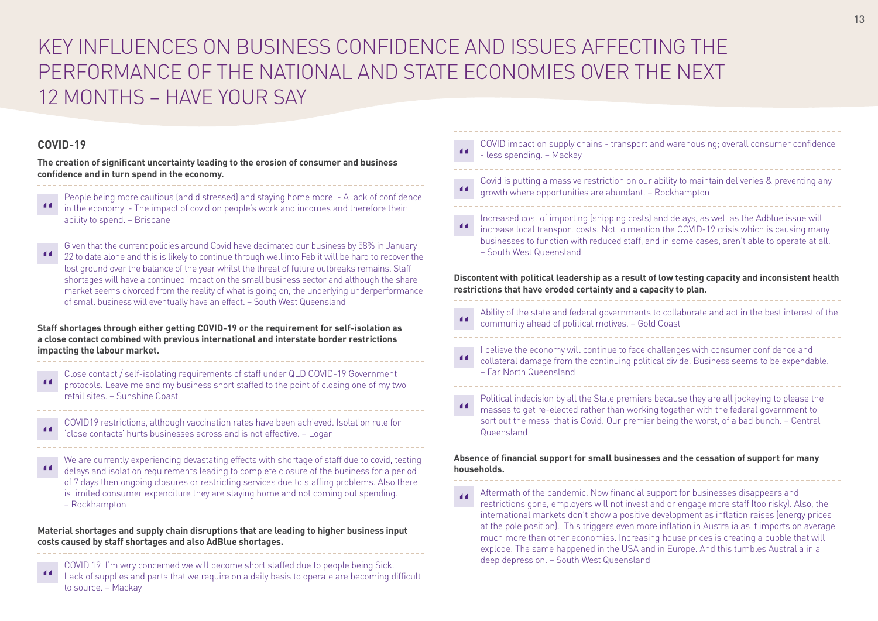## KEY INFLUENCES ON BUSINESS CONFIDENCE AND ISSUES AFFECTING THE PERFORMANCE OF THE NATIONAL AND STATE ECONOMIES OVER THE NEXT 12 MONTHS – HAVE YOUR SAY

### **COVID-19**

**The creation of significant uncertainty leading to the erosion of consumer and business confidence and in turn spend in the economy.**

- People being more cautious (and distressed) and staying home more A lack of confidence in the economy - The impact of covid on people's work and incomes and therefore their ability to spend. – Brisbane
- Given that the current policies around Covid have decimated our business by 58% in January 22 to date alone and this is likely to continue through well into Feb it will be hard to recover the lost ground over the balance of the year whilst the threat of future outbreaks remains. Staff shortages will have a continued impact on the small business sector and although the share market seems divorced from the reality of what is going on, the underlying underperformance of small business will eventually have an effect. – South West Queensland

**Staff shortages through either getting COVID-19 or the requirement for self-isolation as a close contact combined with previous international and interstate border restrictions impacting the labour market.** 

Close contact / self-isolating requirements of staff under QLD COVID-19 Government  $\blacksquare$ protocols. Leave me and my business short staffed to the point of closing one of my two retail sites. – Sunshine Coast

| COVID19 restrictions, although vaccination rates have been achieved. Isolation rule for |
|-----------------------------------------------------------------------------------------|
| close contacts' hurts businesses across and is not effective. - Logan                   |

We are currently experiencing devastating effects with shortage of staff due to covid, testing delays and isolation requirements leading to complete closure of the business for a period of 7 days then ongoing closures or restricting services due to staffing problems. Also there is limited consumer expenditure they are staying home and not coming out spending. – Rockhampton

#### **Material shortages and supply chain disruptions that are leading to higher business input costs caused by staff shortages and also AdBlue shortages.**

COVID 19 I'm very concerned we will become short staffed due to people being Sick. Lack of supplies and parts that we require on a daily basis to operate are becoming difficult to source. – Mackay

- COVID impact on supply chains transport and warehousing; overall consumer confidence  $\blacktriangleleft$ - less spending. – Mackay
- Covid is putting a massive restriction on our ability to maintain deliveries & preventing any 44 growth where opportunities are abundant. – Rockhampton
- Increased cost of importing (shipping costs) and delays, as well as the Adblue issue will  $\overline{11}$ increase local transport costs. Not to mention the COVID-19 crisis which is causing many businesses to function with reduced staff, and in some cases, aren't able to operate at all. – South West Queensland

**Discontent with political leadership as a result of low testing capacity and inconsistent health restrictions that have eroded certainty and a capacity to plan.**

- Ability of the state and federal governments to collaborate and act in the best interest of the  $\overline{11}$ community ahead of political motives. – Gold Coast
- I believe the economy will continue to face challenges with consumer confidence and collateral damage from the continuing political divide. Business seems to be expendable. – Far North Queensland
- Political indecision by all the State premiers because they are all jockeying to please the masses to get re-elected rather than working together with the federal government to sort out the mess that is Covid. Our premier being the worst, of a bad bunch. – Central Queensland

#### **Absence of financial support for small businesses and the cessation of support for many households.**

Aftermath of the pandemic. Now financial support for businesses disappears and  $\overline{11}$ restrictions gone, employers will not invest and or engage more staff (too risky). Also, the international markets don't show a positive development as inflation raises (energy prices at the pole position). This triggers even more inflation in Australia as it imports on average much more than other economies. Increasing house prices is creating a bubble that will explode. The same happened in the USA and in Europe. And this tumbles Australia in a deep depression. – South West Queensland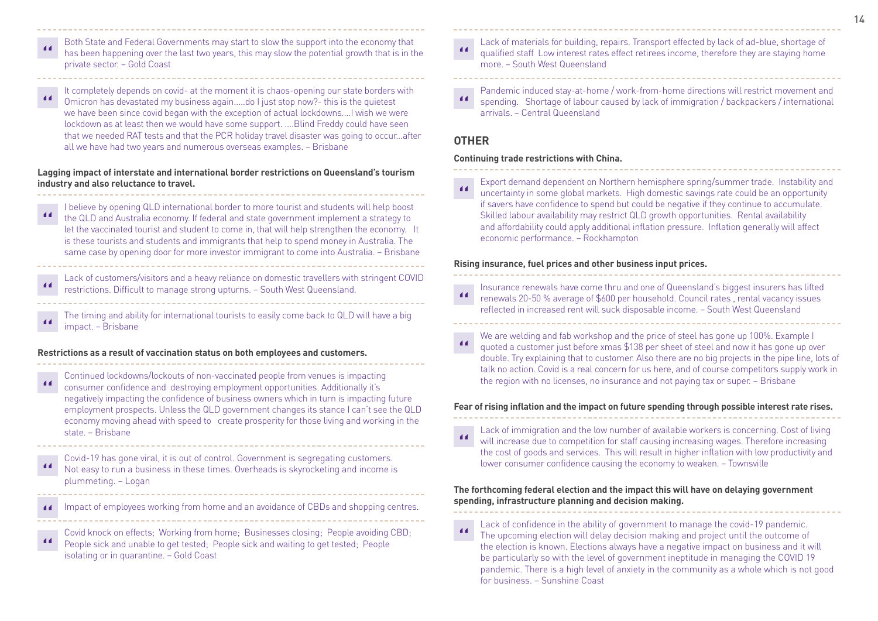- Both State and Federal Governments may start to slow the support into the economy that has been happening over the last two years, this may slow the potential growth that is in the private sector. – Gold Coast
- It completely depends on covid- at the moment it is chaos-opening our state borders with Omicron has devastated my business again.....do I just stop now?- this is the quietest we have been since covid began with the exception of actual lockdowns....I wish we were lockdown as at least then we would have some support. ....Blind Freddy could have seen that we needed RAT tests and that the PCR holiday travel disaster was going to occur...after all we have had two years and numerous overseas examples. – Brisbane

**Lagging impact of interstate and international border restrictions on Queensland's tourism industry and also reluctance to travel.** 

- I believe by opening QLD international border to more tourist and students will help boost the QLD and Australia economy. If federal and state government implement a strategy to let the vaccinated tourist and student to come in, that will help strengthen the economy. It is these tourists and students and immigrants that help to spend money in Australia. The same case by opening door for more investor immigrant to come into Australia. – Brisbane
- Lack of customers/visitors and a heavy reliance on domestic travellers with stringent COVID restrictions. Difficult to manage strong upturns. – South West Queensland.
- The timing and ability for international tourists to easily come back to QLD will have a big impact. – Brisbane

#### **Restrictions as a result of vaccination status on both employees and customers.**

- Continued lockdowns/lockouts of non-vaccinated people from venues is impacting  $\overline{11}$ consumer confidence and destroying employment opportunities. Additionally it's negatively impacting the confidence of business owners which in turn is impacting future employment prospects. Unless the QLD government changes its stance I can't see the QLD economy moving ahead with speed to create prosperity for those living and working in the state. – Brisbane
- Covid-19 has gone viral, it is out of control. Government is segregating customers.  $\blacksquare$ Not easy to run a business in these times. Overheads is skyrocketing and income is plummeting. – Logan
- Impact of employees working from home and an avoidance of CBDs and shopping centres.  $\blacktriangleleft$
- Covid knock on effects; Working from home; Businesses closing; People avoiding CBD; People sick and unable to get tested; People sick and waiting to get tested; People isolating or in quarantine. – Gold Coast
- Lack of materials for building, repairs. Transport effected by lack of ad-blue, shortage of qualified staff Low interest rates effect retirees income, therefore they are staying home more. – South West Queensland
- Pandemic induced stay-at-home / work-from-home directions will restrict movement and spending. Shortage of labour caused by lack of immigration / backpackers / international arrivals. – Central Queensland

#### **OTHER**

#### **Continuing trade restrictions with China.**

Export demand dependent on Northern hemisphere spring/summer trade. Instability and  $\overline{11}$ uncertainty in some global markets. High domestic savings rate could be an opportunity if savers have confidence to spend but could be negative if they continue to accumulate. Skilled labour availability may restrict QLD growth opportunities. Rental availability and affordability could apply additional inflation pressure. Inflation generally will affect economic performance. – Rockhampton

#### **Rising insurance, fuel prices and other business input prices.**

- Insurance renewals have come thru and one of Queensland's biggest insurers has lifted  $\overline{11}$ renewals 20-50 % average of \$600 per household. Council rates , rental vacancy issues reflected in increased rent will suck disposable income. – South West Queensland
- We are welding and fab workshop and the price of steel has gone up 100%. Example I quoted a customer just before xmas \$138 per sheet of steel and now it has gone up over double. Try explaining that to customer. Also there are no big projects in the pipe line, lots of talk no action. Covid is a real concern for us here, and of course competitors supply work in the region with no licenses, no insurance and not paying tax or super. – Brisbane

#### **Fear of rising inflation and the impact on future spending through possible interest rate rises.**

Lack of immigration and the low number of available workers is concerning. Cost of living will increase due to competition for staff causing increasing wages. Therefore increasing the cost of goods and services. This will result in higher inflation with low productivity and lower consumer confidence causing the economy to weaken. – Townsville

#### **The forthcoming federal election and the impact this will have on delaying government spending, infrastructure planning and decision making.**

Lack of confidence in the ability of government to manage the covid-19 pandemic.  $\blacksquare$ The upcoming election will delay decision making and project until the outcome of the election is known. Elections always have a negative impact on business and it will be particularly so with the level of government ineptitude in managing the COVID 19 pandemic. There is a high level of anxiety in the community as a whole which is not good for business. – Sunshine Coast